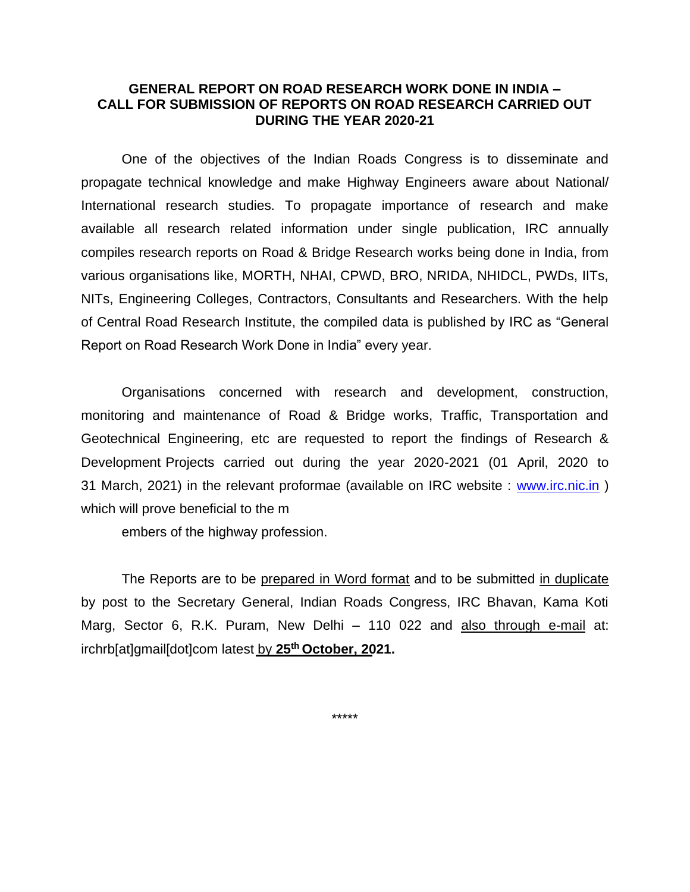### **GENERAL REPORT ON ROAD RESEARCH WORK DONE IN INDIA – CALL FOR SUBMISSION OF REPORTS ON ROAD RESEARCH CARRIED OUT DURING THE YEAR 2020-21**

One of the objectives of the Indian Roads Congress is to disseminate and propagate technical knowledge and make Highway Engineers aware about National/ International research studies. To propagate importance of research and make available all research related information under single publication, IRC annually compiles research reports on Road & Bridge Research works being done in India, from various organisations like, MORTH, NHAI, CPWD, BRO, NRIDA, NHIDCL, PWDs, IITs, NITs, Engineering Colleges, Contractors, Consultants and Researchers. With the help of Central Road Research Institute, the compiled data is published by IRC as "General Report on Road Research Work Done in India" every year.

Organisations concerned with research and development, construction, monitoring and maintenance of Road & Bridge works, Traffic, Transportation and Geotechnical Engineering, etc are requested to report the findings of Research & Development Projects carried out during the year 2020-2021 (01 April, 2020 to 31 March, 2021) in the relevant proformae (available on IRC website : [www.irc.nic.in](http://www.irc.nic.in/) ) which will prove beneficial to the m

embers of the highway profession.

The Reports are to be prepared in Word format and to be submitted in duplicate by post to the Secretary General, Indian Roads Congress, IRC Bhavan, Kama Koti Marg, Sector 6, R.K. Puram, New Delhi – 110 022 and also through e-mail at: irchrb[at]gmail[dot]com latest by **25th October, 2021.**

\*\*\*\*\*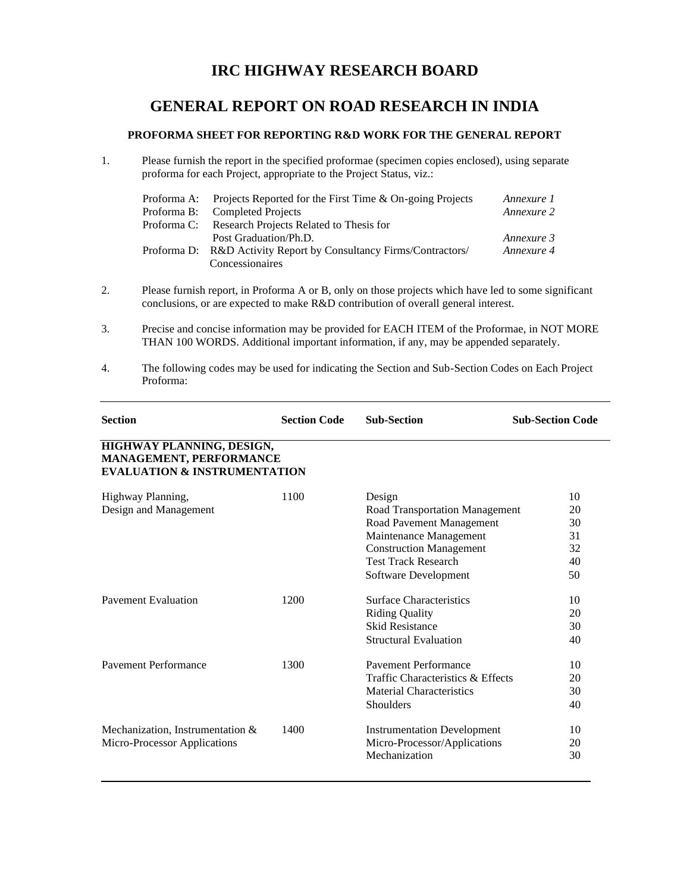# **IRC HIGHWAY RESEARCH BOARD**

## **GENERAL REPORT ON ROAD RESEARCH IN INDIA**

#### **PROFORMA SHEET FOR REPORTING R&D WORK FOR THE GENERAL REPORT**

1. Please furnish the report in the specified proformae (specimen copies enclosed), using separate proforma for each Project, appropriate to the Project Status, viz.:

| Proforma A: Projects Reported for the First Time & On-going Projects | Annexure 1 |
|----------------------------------------------------------------------|------------|
| Proforma B: Completed Projects                                       | Annexure 2 |
| Proforma C: Research Projects Related to Thesis for                  |            |
| Post Graduation/Ph.D.                                                | Annexure 3 |
| Proforma D: R&D Activity Report by Consultancy Firms/Contractors/    | Annexure 4 |
| Concessionaires                                                      |            |

- 2. Please furnish report, in Proforma A or B, only on those projects which have led to some significant conclusions, or are expected to make R&D contribution of overall general interest.
- 3. Precise and concise information may be provided for EACH ITEM of the Proformae, in NOT MORE THAN 100 WORDS. Additional important information, if any, may be appended separately.
- 4. The following codes may be used for indicating the Section and Sub-Section Codes on Each Project Proforma:

| <b>Section</b>                                                                                         | <b>Section Code</b> | <b>Sub-Section</b>                                                                                                                                                                     | <b>Sub-Section Code</b>                |  |  |
|--------------------------------------------------------------------------------------------------------|---------------------|----------------------------------------------------------------------------------------------------------------------------------------------------------------------------------------|----------------------------------------|--|--|
| <b>HIGHWAY PLANNING, DESIGN,</b><br>MANAGEMENT, PERFORMANCE<br><b>EVALUATION &amp; INSTRUMENTATION</b> |                     |                                                                                                                                                                                        |                                        |  |  |
| Highway Planning,<br>Design and Management                                                             | 1100                | Design<br>Road Transportation Management<br>Road Pavement Management<br>Maintenance Management<br><b>Construction Management</b><br><b>Test Track Research</b><br>Software Development | 10<br>20<br>30<br>31<br>32<br>40<br>50 |  |  |
| <b>Pavement Evaluation</b>                                                                             | 1200                | <b>Surface Characteristics</b><br><b>Riding Quality</b><br><b>Skid Resistance</b><br><b>Structural Evaluation</b>                                                                      | 10<br>20<br>30<br>40                   |  |  |
| Payement Performance                                                                                   | 1300                | <b>Pavement Performance</b><br>Traffic Characteristics & Effects<br><b>Material Characteristics</b><br>Shoulders                                                                       | 10<br>20<br>30<br>40                   |  |  |
| Mechanization, Instrumentation &<br>Micro-Processor Applications                                       | 1400                | <b>Instrumentation Development</b><br>Micro-Processor/Applications<br>Mechanization                                                                                                    | 10<br>20<br>30                         |  |  |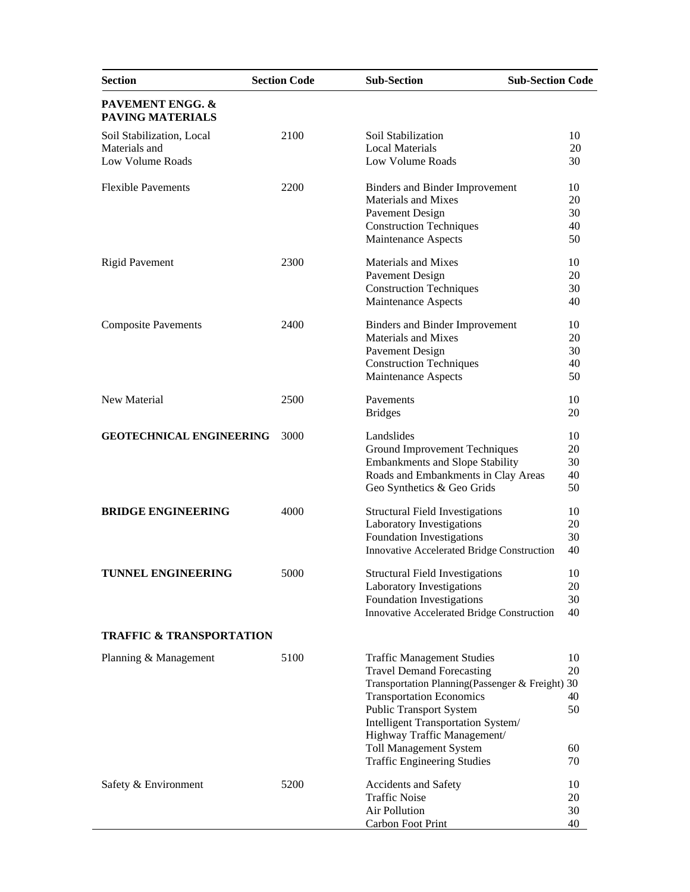| <b>Section</b>                       | <b>Section Code</b> | <b>Sub-Section</b><br><b>Sub-Section Code</b>          |          |
|--------------------------------------|---------------------|--------------------------------------------------------|----------|
| PAVEMENT ENGG. &<br>PAVING MATERIALS |                     |                                                        |          |
| Soil Stabilization, Local            | 2100                | Soil Stabilization                                     | 10       |
| Materials and                        |                     | <b>Local Materials</b>                                 | 20       |
| Low Volume Roads                     |                     | Low Volume Roads                                       | 30       |
| <b>Flexible Pavements</b>            | 2200                | <b>Binders and Binder Improvement</b>                  | 10       |
|                                      |                     | <b>Materials and Mixes</b>                             | 20       |
|                                      |                     | <b>Pavement Design</b>                                 | 30       |
|                                      |                     | <b>Construction Techniques</b>                         | 40       |
|                                      |                     | Maintenance Aspects                                    | 50       |
| <b>Rigid Pavement</b>                | 2300                | Materials and Mixes                                    | 10       |
|                                      |                     | Pavement Design                                        | 20       |
|                                      |                     |                                                        |          |
|                                      |                     | <b>Construction Techniques</b><br>Maintenance Aspects  | 30<br>40 |
|                                      |                     |                                                        |          |
| <b>Composite Pavements</b>           | 2400                | <b>Binders and Binder Improvement</b>                  | 10       |
|                                      |                     | <b>Materials and Mixes</b>                             | 20       |
|                                      |                     | Pavement Design                                        | 30       |
|                                      |                     | <b>Construction Techniques</b>                         | 40       |
|                                      |                     | Maintenance Aspects                                    | 50       |
| New Material                         | 2500                | Pavements                                              | 10       |
|                                      |                     | <b>Bridges</b>                                         | 20       |
| <b>GEOTECHNICAL ENGINEERING</b>      | 3000                | Landslides                                             | 10       |
|                                      |                     | Ground Improvement Techniques                          | 20       |
|                                      |                     | <b>Embankments and Slope Stability</b>                 | 30       |
|                                      |                     | Roads and Embankments in Clay Areas                    | 40       |
|                                      |                     | Geo Synthetics & Geo Grids                             | 50       |
| <b>BRIDGE ENGINEERING</b>            | 4000                | <b>Structural Field Investigations</b>                 | 10       |
|                                      |                     | Laboratory Investigations                              | 20       |
|                                      |                     | Foundation Investigations                              | 30       |
|                                      |                     | Innovative Accelerated Bridge Construction             | 40       |
|                                      |                     |                                                        |          |
| TUNNEL ENGINEERING                   | 5000                | <b>Structural Field Investigations</b>                 | 10<br>20 |
|                                      |                     | Laboratory Investigations<br>Foundation Investigations | 30       |
|                                      |                     | Innovative Accelerated Bridge Construction             | 40       |
|                                      |                     |                                                        |          |
| <b>TRAFFIC &amp; TRANSPORTATION</b>  |                     |                                                        |          |
| Planning & Management                | 5100                | <b>Traffic Management Studies</b>                      | 10       |
|                                      |                     | <b>Travel Demand Forecasting</b>                       | 20       |
|                                      |                     | Transportation Planning(Passenger & Freight) 30        |          |
|                                      |                     | <b>Transportation Economics</b>                        | 40       |
|                                      |                     | <b>Public Transport System</b>                         | 50       |
|                                      |                     | Intelligent Transportation System/                     |          |
|                                      |                     | Highway Traffic Management/                            |          |
|                                      |                     | <b>Toll Management System</b>                          | 60       |
|                                      |                     | <b>Traffic Engineering Studies</b>                     | 70       |
| Safety & Environment                 | 5200                | Accidents and Safety                                   | 10       |
|                                      |                     | <b>Traffic Noise</b>                                   | 20       |
|                                      |                     | Air Pollution                                          | 30       |
|                                      |                     | Carbon Foot Print                                      | 40       |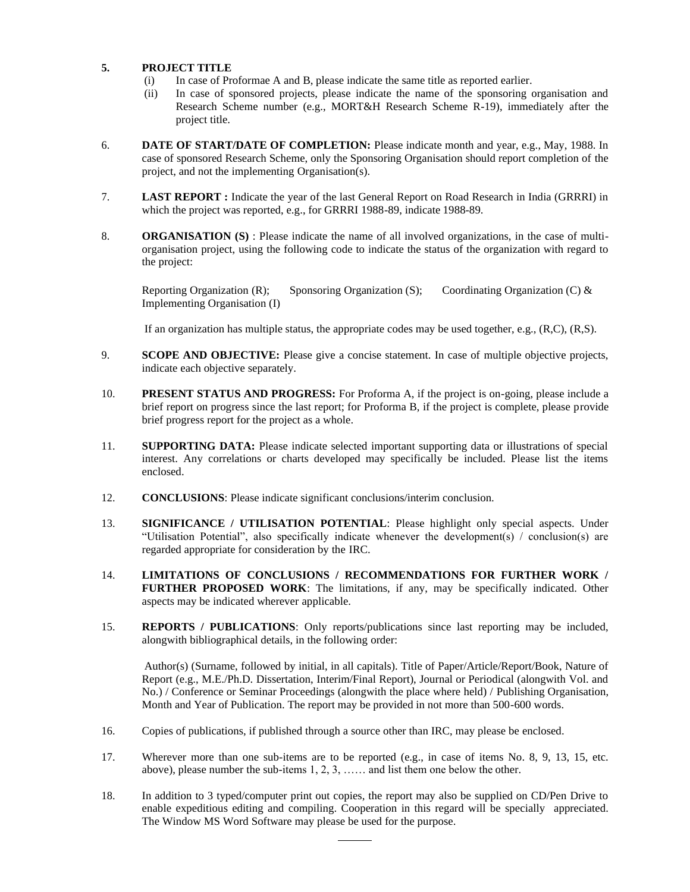#### **5. PROJECT TITLE**

- (i) In case of Proformae A and B, please indicate the same title as reported earlier.
- (ii) In case of sponsored projects, please indicate the name of the sponsoring organisation and Research Scheme number (e.g., MORT&H Research Scheme R-19), immediately after the project title.
- 6. **DATE OF START/DATE OF COMPLETION:** Please indicate month and year, e.g., May, 1988. In case of sponsored Research Scheme, only the Sponsoring Organisation should report completion of the project, and not the implementing Organisation(s).
- 7. **LAST REPORT :** Indicate the year of the last General Report on Road Research in India (GRRRI) in which the project was reported, e.g., for GRRRI 1988-89, indicate 1988-89.
- 8. **ORGANISATION (S)**: Please indicate the name of all involved organizations, in the case of multiorganisation project, using the following code to indicate the status of the organization with regard to the project:

Reporting Organization (R); Sponsoring Organization (S); Coordinating Organization (C)  $\&$ Implementing Organisation (I)

If an organization has multiple status, the appropriate codes may be used together, e.g., (R,C), (R,S).

- 9. **SCOPE AND OBJECTIVE:** Please give a concise statement. In case of multiple objective projects, indicate each objective separately.
- 10. **PRESENT STATUS AND PROGRESS:** For Proforma A, if the project is on-going, please include a brief report on progress since the last report; for Proforma B, if the project is complete, please provide brief progress report for the project as a whole.
- 11. **SUPPORTING DATA:** Please indicate selected important supporting data or illustrations of special interest. Any correlations or charts developed may specifically be included. Please list the items enclosed.
- 12. **CONCLUSIONS**: Please indicate significant conclusions/interim conclusion.
- 13. **SIGNIFICANCE / UTILISATION POTENTIAL**: Please highlight only special aspects. Under "Utilisation Potential", also specifically indicate whenever the development(s) / conclusion(s) are regarded appropriate for consideration by the IRC.
- 14. **LIMITATIONS OF CONCLUSIONS / RECOMMENDATIONS FOR FURTHER WORK / FURTHER PROPOSED WORK**: The limitations, if any, may be specifically indicated. Other aspects may be indicated wherever applicable.
- 15. **REPORTS / PUBLICATIONS**: Only reports/publications since last reporting may be included, alongwith bibliographical details, in the following order:

Author(s) (Surname, followed by initial, in all capitals). Title of Paper/Article/Report/Book, Nature of Report (e.g., M.E./Ph.D. Dissertation, Interim/Final Report), Journal or Periodical (alongwith Vol. and No.) / Conference or Seminar Proceedings (alongwith the place where held) / Publishing Organisation, Month and Year of Publication. The report may be provided in not more than 500-600 words.

- 16. Copies of publications, if published through a source other than IRC, may please be enclosed.
- 17. Wherever more than one sub-items are to be reported (e.g., in case of items No. 8, 9, 13, 15, etc. above), please number the sub-items 1, 2, 3, …… and list them one below the other.
- 18. In addition to 3 typed/computer print out copies, the report may also be supplied on CD/Pen Drive to enable expeditious editing and compiling. Cooperation in this regard will be specially appreciated. The Window MS Word Software may please be used for the purpose.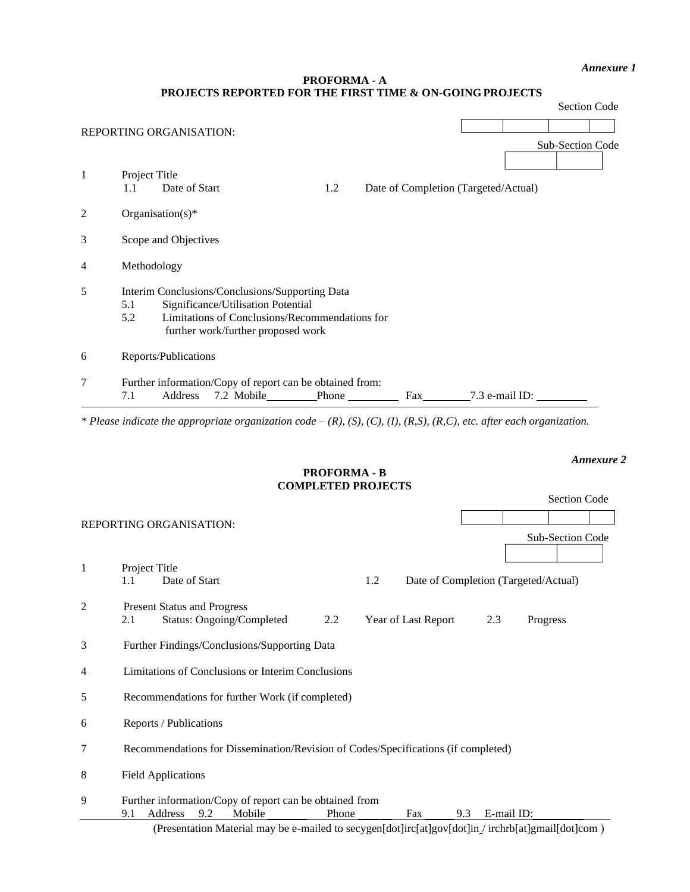#### *Annexure 1*

### **PROFORMA - A PROJECTS REPORTED FOR THE FIRST TIME & ON-GOING PROJECTS**

|                | <b>Section Code</b>                                                                                                                                                                         |
|----------------|---------------------------------------------------------------------------------------------------------------------------------------------------------------------------------------------|
|                | <b>REPORTING ORGANISATION:</b>                                                                                                                                                              |
|                | Sub-Section Code                                                                                                                                                                            |
| $\mathbf{1}$   | Project Title<br>Date of Start<br>1.2<br>Date of Completion (Targeted/Actual)<br>1.1                                                                                                        |
| $\overline{2}$ | Organisation(s)*                                                                                                                                                                            |
| 3              | Scope and Objectives                                                                                                                                                                        |
| 4              | Methodology                                                                                                                                                                                 |
| 5              | Interim Conclusions/Conclusions/Supporting Data<br>Significance/Utilisation Potential<br>5.1<br>Limitations of Conclusions/Recommendations for<br>5.2<br>further work/further proposed work |
| 6              | Reports/Publications                                                                                                                                                                        |
| 7              | Further information/Copy of report can be obtained from:<br>7.2 Mobile Phone Fax 7.3 e-mail ID:<br>7.1<br>Address                                                                           |
|                | * Please indicate the appropriate organization code $-(R)$ , (S), (C), (I), (R,S), (R,C), etc. after each organization.                                                                     |
|                |                                                                                                                                                                                             |
|                | <b>Annexure 2</b><br><b>PROFORMA - B</b>                                                                                                                                                    |

# **COMPLETED PROJECTS**

|   |                                                                                                  |                     | Section Code                         |
|---|--------------------------------------------------------------------------------------------------|---------------------|--------------------------------------|
|   | <b>REPORTING ORGANISATION:</b>                                                                   |                     |                                      |
|   |                                                                                                  |                     | Sub-Section Code                     |
|   |                                                                                                  |                     |                                      |
| 1 | Project Title                                                                                    |                     |                                      |
|   | Date of Start<br>1.1                                                                             | 1.2                 | Date of Completion (Targeted/Actual) |
| 2 | <b>Present Status and Progress</b>                                                               |                     |                                      |
|   | <b>Status: Ongoing/Completed</b><br>2.2<br>2.1                                                   | Year of Last Report | 2.3<br>Progress                      |
| 3 | Further Findings/Conclusions/Supporting Data                                                     |                     |                                      |
| 4 | Limitations of Conclusions or Interim Conclusions                                                |                     |                                      |
| 5 | Recommendations for further Work (if completed)                                                  |                     |                                      |
| 6 | Reports / Publications                                                                           |                     |                                      |
| 7 | Recommendations for Dissemination/Revision of Codes/Specifications (if completed)                |                     |                                      |
| 8 | <b>Field Applications</b>                                                                        |                     |                                      |
| 9 | Further information/Copy of report can be obtained from                                          |                     |                                      |
|   | 9.2<br>Address<br>Mobile<br>9.1<br>Phone                                                         | Fax<br>9.3          | E-mail ID:                           |
|   | (Presentation Material may be e-mailed to secygen[dot]irc[at]gov[dot]in/irchrb[at]gmail[dot]com) |                     |                                      |